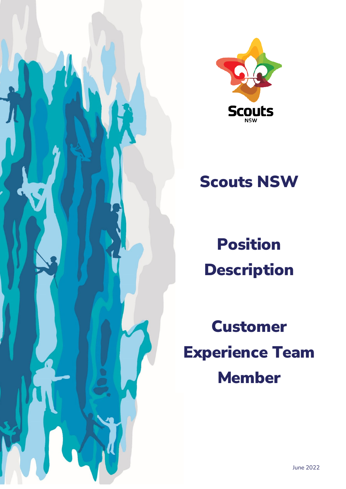



# Scouts NSW

Position **Description** 

Customer Experience Team Member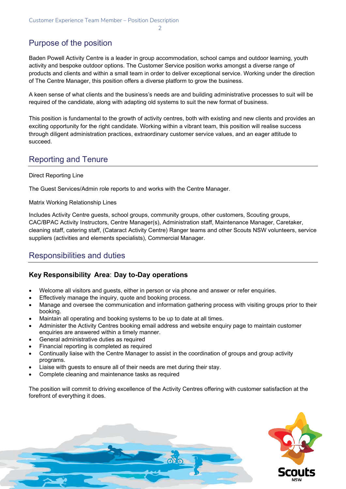2

# Purpose of the position

Baden Powell Activity Centre is a leader in group accommodation, school camps and outdoor learning, youth activity and bespoke outdoor options. The Customer Service position works amongst a diverse range of products and clients and within a small team in order to deliver exceptional service. Working under the direction of The Centre Manager, this position offers a diverse platform to grow the business.

A keen sense of what clients and the business's needs are and building administrative processes to suit will be required of the candidate, along with adapting old systems to suit the new format of business.

This position is fundamental to the growth of activity centres, both with existing and new clients and provides an exciting opportunity for the right candidate. Working within a vibrant team, this position will realise success through diligent administration practices, extraordinary customer service values, and an eager attitude to succeed.

## Reporting and Tenure

#### Direct Reporting Line

The Guest Services/Admin role reports to and works with the Centre Manager.

Matrix Working Relationship Lines

Includes Activity Centre guests, school groups, community groups, other customers, Scouting groups, CAC/BPAC Activity Instructors, Centre Manager(s), Administration staff, Maintenance Manager, Caretaker, cleaning staff, catering staff, (Cataract Activity Centre) Ranger teams and other Scouts NSW volunteers, service suppliers (activities and elements specialists), Commercial Manager.

### Responsibilities and duties

#### **Key Responsibility Area**: **Day to-Day operations**

- Welcome all visitors and guests, either in person or via phone and answer or refer enquiries.
- Effectively manage the inquiry, quote and booking process.
- Manage and oversee the communication and information gathering process with visiting groups prior to their booking.
- Maintain all operating and booking systems to be up to date at all times.
- Administer the Activity Centres booking email address and website enquiry page to maintain customer enquiries are answered within a timely manner.
- General administrative duties as required
- Financial reporting is completed as required
- Continually liaise with the Centre Manager to assist in the coordination of groups and group activity programs.
- Liaise with quests to ensure all of their needs are met during their stay.
- Complete cleaning and maintenance tasks as required

The position will commit to driving excellence of the Activity Centres offering with customer satisfaction at the forefront of everything it does.

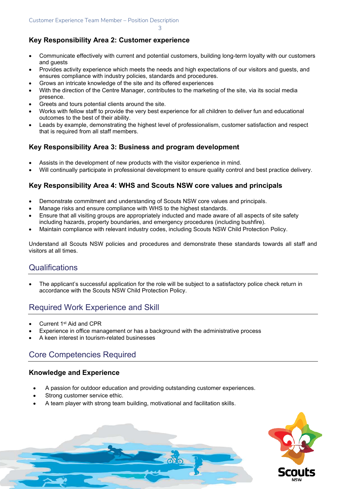3

#### **Key Responsibility Area 2: Customer experience**

- Communicate effectively with current and potential customers, building long-term loyalty with our customers and guests
- Provides activity experience which meets the needs and high expectations of our visitors and guests, and ensures compliance with industry policies, standards and procedures.
- Grows an intricate knowledge of the site and its offered experiences
- With the direction of the Centre Manager, contributes to the marketing of the site, via its social media presence.
- Greets and tours potential clients around the site.
- Works with fellow staff to provide the very best experience for all children to deliver fun and educational outcomes to the best of their ability.
- Leads by example, demonstrating the highest level of professionalism, customer satisfaction and respect that is required from all staff members.

### **Key Responsibility Area 3: Business and program development**

- Assists in the development of new products with the visitor experience in mind.
- Will continually participate in professional development to ensure quality control and best practice delivery.

### **Key Responsibility Area 4: WHS and Scouts NSW core values and principals**

- Demonstrate commitment and understanding of Scouts NSW core values and principals.
- Manage risks and ensure compliance with WHS to the highest standards.
- Ensure that all visiting groups are appropriately inducted and made aware of all aspects of site safety including hazards, property boundaries, and emergency procedures (including bushfire).
- Maintain compliance with relevant industry codes, including Scouts NSW Child Protection Policy.

Understand all Scouts NSW policies and procedures and demonstrate these standards towards all staff and visitors at all times.

### **Qualifications**

• The applicant's successful application for the role will be subject to a satisfactory police check return in accordance with the Scouts NSW Child Protection Policy.

## Required Work Experience and Skill

- Current 1<sup>st</sup> Aid and CPR
- Experience in office management or has a background with the administrative process
- A keen interest in tourism-related businesses

# Core Competencies Required

### **Knowledge and Experience**

- A passion for outdoor education and providing outstanding customer experiences.
- Strong customer service ethic.
- A team player with strong team building, motivational and facilitation skills.